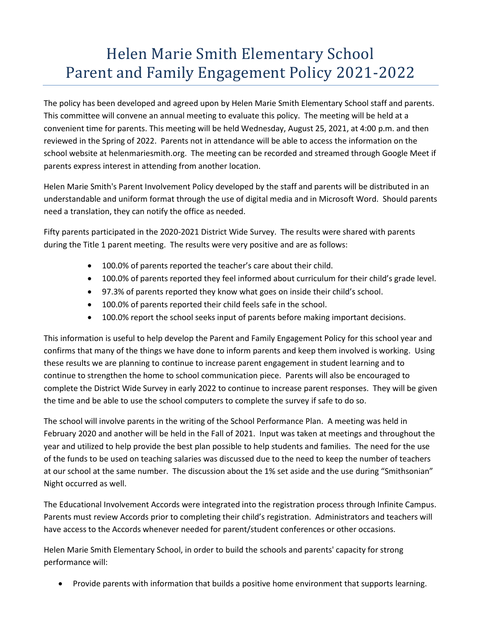## Helen Marie Smith Elementary School Parent and Family Engagement Policy 2021-2022

The policy has been developed and agreed upon by Helen Marie Smith Elementary School staff and parents. This committee will convene an annual meeting to evaluate this policy. The meeting will be held at a convenient time for parents. This meeting will be held Wednesday, August 25, 2021, at 4:00 p.m. and then reviewed in the Spring of 2022. Parents not in attendance will be able to access the information on the school website at helenmariesmith.org. The meeting can be recorded and streamed through Google Meet if parents express interest in attending from another location.

Helen Marie Smith's Parent Involvement Policy developed by the staff and parents will be distributed in an understandable and uniform format through the use of digital media and in Microsoft Word. Should parents need a translation, they can notify the office as needed.

Fifty parents participated in the 2020-2021 District Wide Survey. The results were shared with parents during the Title 1 parent meeting. The results were very positive and are as follows:

- 100.0% of parents reported the teacher's care about their child.
- 100.0% of parents reported they feel informed about curriculum for their child's grade level.
- 97.3% of parents reported they know what goes on inside their child's school.
- 100.0% of parents reported their child feels safe in the school.
- 100.0% report the school seeks input of parents before making important decisions.

This information is useful to help develop the Parent and Family Engagement Policy for this school year and confirms that many of the things we have done to inform parents and keep them involved is working. Using these results we are planning to continue to increase parent engagement in student learning and to continue to strengthen the home to school communication piece. Parents will also be encouraged to complete the District Wide Survey in early 2022 to continue to increase parent responses. They will be given the time and be able to use the school computers to complete the survey if safe to do so.

The school will involve parents in the writing of the School Performance Plan. A meeting was held in February 2020 and another will be held in the Fall of 2021. Input was taken at meetings and throughout the year and utilized to help provide the best plan possible to help students and families. The need for the use of the funds to be used on teaching salaries was discussed due to the need to keep the number of teachers at our school at the same number. The discussion about the 1% set aside and the use during "Smithsonian" Night occurred as well.

The Educational Involvement Accords were integrated into the registration process through Infinite Campus. Parents must review Accords prior to completing their child's registration. Administrators and teachers will have access to the Accords whenever needed for parent/student conferences or other occasions.

Helen Marie Smith Elementary School, in order to build the schools and parents' capacity for strong performance will:

Provide parents with information that builds a positive home environment that supports learning.